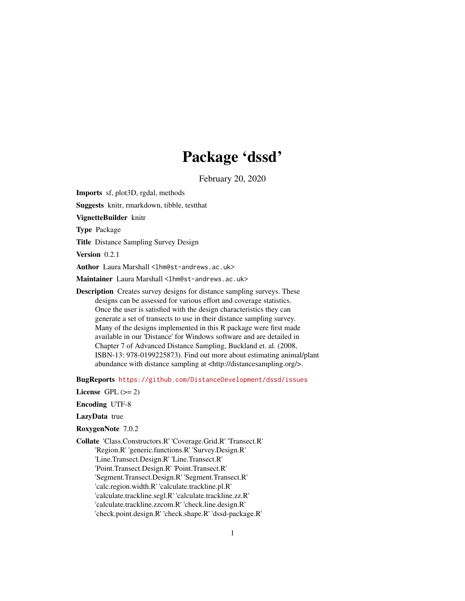# Package 'dssd'

February 20, 2020

Imports sf, plot3D, rgdal, methods

Suggests knitr, rmarkdown, tibble, testthat

VignetteBuilder knitr

Type Package

Title Distance Sampling Survey Design

Version 0.2.1

Author Laura Marshall <1hm@st-andrews.ac.uk>

Maintainer Laura Marshall <1hm@st-andrews.ac.uk>

Description Creates survey designs for distance sampling surveys. These designs can be assessed for various effort and coverage statistics. Once the user is satisfied with the design characteristics they can generate a set of transects to use in their distance sampling survey. Many of the designs implemented in this R package were first made available in our 'Distance' for Windows software and are detailed in Chapter 7 of Advanced Distance Sampling, Buckland et. al. (2008, ISBN-13: 978-0199225873). Find out more about estimating animal/plant abundance with distance sampling at <http://distancesampling.org/>.

BugReports <https://github.com/DistanceDevelopment/dssd/issues>

License GPL  $(>= 2)$ 

Encoding UTF-8

#### LazyData true

- RoxygenNote 7.0.2
- Collate 'Class.Constructors.R' 'Coverage.Grid.R' 'Transect.R' 'Region.R' 'generic.functions.R' 'Survey.Design.R' 'Line.Transect.Design.R' 'Line.Transect.R' 'Point.Transect.Design.R' 'Point.Transect.R' 'Segment.Transect.Design.R' 'Segment.Transect.R' 'calc.region.width.R' 'calculate.trackline.pl.R' 'calculate.trackline.segl.R' 'calculate.trackline.zz.R' 'calculate.trackline.zzcom.R' 'check.line.design.R' 'check.point.design.R' 'check.shape.R' 'dssd-package.R'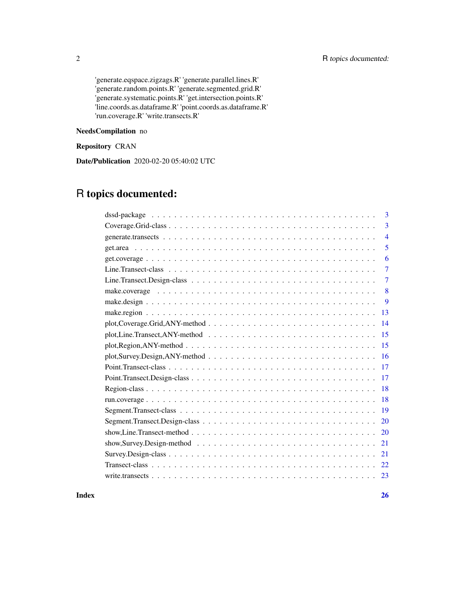'generate.eqspace.zigzags.R' 'generate.parallel.lines.R' 'generate.random.points.R' 'generate.segmented.grid.R' 'generate.systematic.points.R' 'get.intersection.points.R' 'line.coords.as.dataframe.R' 'point.coords.as.dataframe.R' 'run.coverage.R' 'write.transects.R'

## NeedsCompilation no

## Repository CRAN

Date/Publication 2020-02-20 05:40:02 UTC

## R topics documented:

|           | 3              |
|-----------|----------------|
|           | 3              |
|           | $\overline{4}$ |
|           | 5              |
|           | 6              |
|           | 7              |
|           | 7              |
|           | 8              |
|           | 9              |
| 13        |                |
| 14        |                |
| 15        |                |
| 15        |                |
| 16        |                |
| <b>17</b> |                |
| 17        |                |
| 18        |                |
| 18        |                |
| 19        |                |
| 20        |                |
| 20        |                |
| 21        |                |
| 21        |                |
| 22        |                |
| 23        |                |
|           |                |

#### **Index** [26](#page-25-0)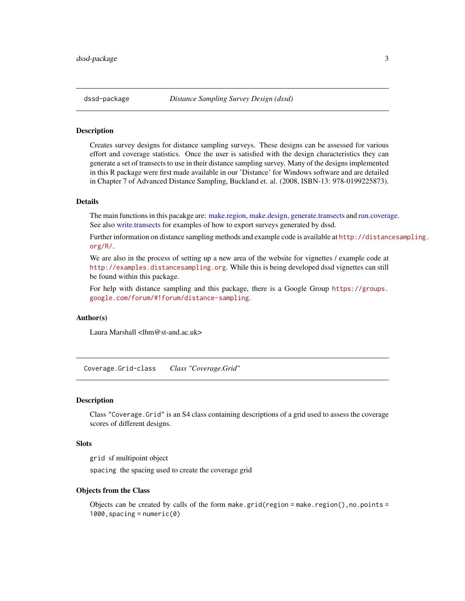<span id="page-2-0"></span>

### Description

Creates survey designs for distance sampling surveys. These designs can be assessed for various effort and coverage statistics. Once the user is satisfied with the design characteristics they can generate a set of transects to use in their distance sampling survey. Many of the designs implemented in this R package were first made available in our 'Distance' for Windows software and are detailed in Chapter 7 of Advanced Distance Sampling, Buckland et. al. (2008, ISBN-13: 978-0199225873).

#### Details

The main functions in this pacakge are: [make.region,](#page-12-1) [make.design,](#page-8-1) [generate.transects](#page-3-1) and [run.coverage.](#page-17-1) See also [write.transects](#page-22-1) for examples of how to export surveys generated by dssd.

Further information on distance sampling methods and example code is available at [http://distanc](http://distancesampling.org/R/)esampling. [org/R/](http://distancesampling.org/R/).

We are also in the process of setting up a new area of the website for vignettes / example code at <http://examples.distancesampling.org>. While this is being developed dssd vignettes can still be found within this package.

For help with distance sampling and this package, there is a Google Group [https://groups.](https://groups.google.com/forum/#!forum/distance-sampling) [google.com/forum/#!forum/distance-sampling](https://groups.google.com/forum/#!forum/distance-sampling).

## Author(s)

Laura Marshall <lhm@st-and.ac.uk>

Coverage.Grid-class *Class "Coverage.Grid"*

#### Description

Class "Coverage.Grid" is an S4 class containing descriptions of a grid used to assess the coverage scores of different designs.

#### **Slots**

grid sf multipoint object

spacing the spacing used to create the coverage grid

#### Objects from the Class

Objects can be created by calls of the form make.grid(region = make.region(), no.points = 1000,spacing = numeric(0)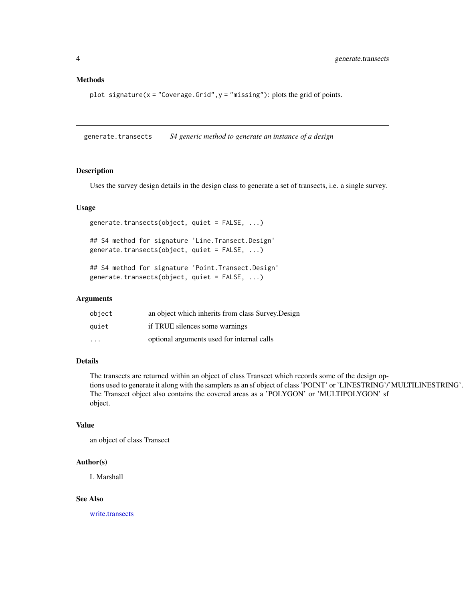## <span id="page-3-0"></span>Methods

plot signature( $x = "Coverage.Grid", y = "missing"$ ): plots the grid of points.

<span id="page-3-1"></span>generate.transects *S4 generic method to generate an instance of a design*

## Description

Uses the survey design details in the design class to generate a set of transects, i.e. a single survey.

## Usage

generate.transects(object, quiet = FALSE, ...)

## S4 method for signature 'Line.Transect.Design' generate.transects(object, quiet = FALSE, ...)

## S4 method for signature 'Point.Transect.Design' generate.transects(object, quiet = FALSE, ...)

#### Arguments

| object                  | an object which inherits from class Survey. Design |
|-------------------------|----------------------------------------------------|
| quiet                   | if TRUE silences some warnings                     |
| $\cdot$ $\cdot$ $\cdot$ | optional arguments used for internal calls         |

## Details

The transects are returned within an object of class Transect which records some of the design options used to generate it along with the samplers as an sf object of class 'POINT' or 'LINESTRING'/'MULTILINESTRING'. The Transect object also contains the covered areas as a 'POLYGON' or 'MULTIPOLYGON' sf object.

## Value

an object of class Transect

#### Author(s)

L Marshall

## See Also

[write.transects](#page-22-1)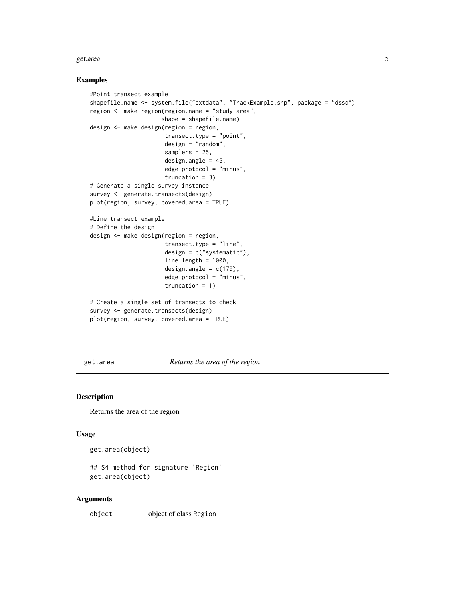#### <span id="page-4-0"></span>get.area 55 animatic state of the state of the state of the state of the state of the state of the state of the state of the state of the state of the state of the state of the state of the state of the state of the state

## Examples

```
#Point transect example
shapefile.name <- system.file("extdata", "TrackExample.shp", package = "dssd")
region <- make.region(region.name = "study area",
                     shape = shapefile.name)
design <- make.design(region = region,
                      transect.type = "point",
                      design = "random",
                      samplers = 25,
                      design.angle = 45,
                      edge.protocol = "minus",
                      truncation = 3)
# Generate a single survey instance
survey <- generate.transects(design)
plot(region, survey, covered.area = TRUE)
#Line transect example
# Define the design
design <- make.design(region = region,
                      transect.type = "line",
                      design = c("systematic"),
                      line.length = 1000,
                      design.angle = c(179),
                      edge.protocol = "minus",
                      truncation = 1)
# Create a single set of transects to check
survey <- generate.transects(design)
plot(region, survey, covered.area = TRUE)
```
get.area *Returns the area of the region*

## Description

Returns the area of the region

## Usage

```
get.area(object)
```
## S4 method for signature 'Region' get.area(object)

#### Arguments

object object of class Region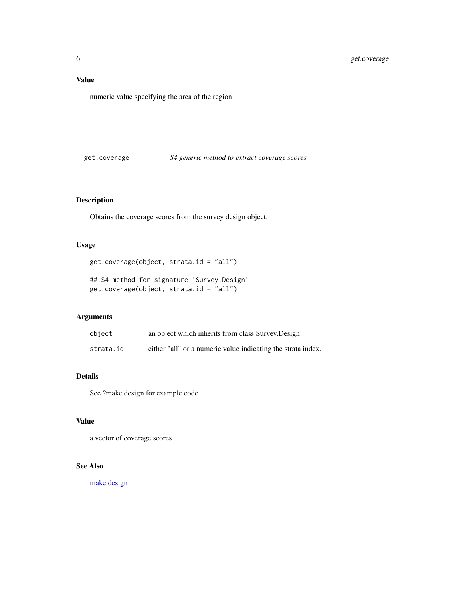## <span id="page-5-0"></span>Value

numeric value specifying the area of the region

## get.coverage *S4 generic method to extract coverage scores*

## Description

Obtains the coverage scores from the survey design object.

## Usage

get.coverage(object, strata.id = "all")

## S4 method for signature 'Survey.Design' get.coverage(object, strata.id = "all")

## Arguments

| object    | an object which inherits from class Survey. Design           |
|-----------|--------------------------------------------------------------|
| strata.id | either "all" or a numeric value indicating the strata index. |

## Details

See ?make.design for example code

## Value

a vector of coverage scores

## See Also

[make.design](#page-8-1)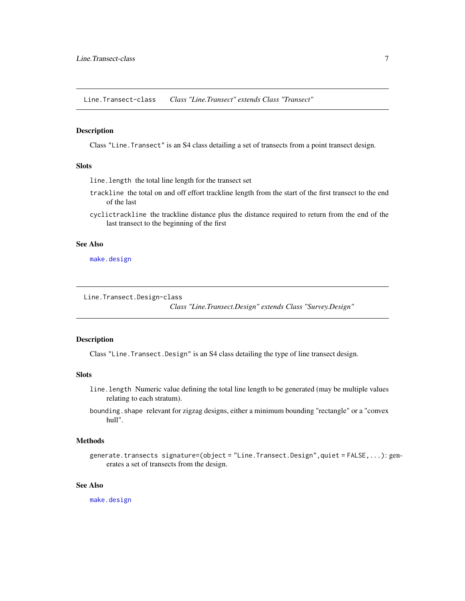<span id="page-6-0"></span>Line.Transect-class *Class "Line.Transect" extends Class "Transect"*

#### Description

Class "Line.Transect" is an S4 class detailing a set of transects from a point transect design.

## Slots

line.length the total line length for the transect set

- trackline the total on and off effort trackline length from the start of the first transect to the end of the last
- cyclictrackline the trackline distance plus the distance required to return from the end of the last transect to the beginning of the first

## See Also

[make.design](#page-8-1)

Line.Transect.Design-class

*Class "Line.Transect.Design" extends Class "Survey.Design"*

## Description

Class "Line.Transect.Design" is an S4 class detailing the type of line transect design.

## **Slots**

- line.length Numeric value defining the total line length to be generated (may be multiple values relating to each stratum).
- bounding.shape relevant for zigzag designs, either a minimum bounding "rectangle" or a "convex hull".

## Methods

generate.transects signature=(object = "Line.Transect.Design",quiet = FALSE,...): generates a set of transects from the design.

## See Also

[make.design](#page-8-1)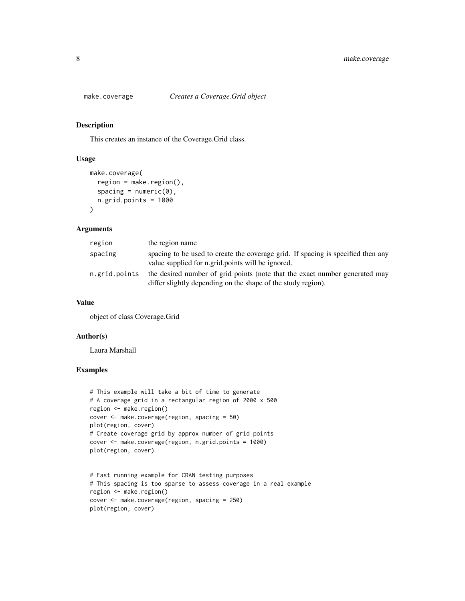<span id="page-7-0"></span>

## Description

This creates an instance of the Coverage.Grid class.

## Usage

```
make.coverage(
  region = make.region(),
  spacing = numeric(0),
  n.grid.points = 1000
)
```
## Arguments

| region        | the region name                                                                                                                             |
|---------------|---------------------------------------------------------------------------------------------------------------------------------------------|
| spacing       | spacing to be used to create the coverage grid. If spacing is specified then any<br>value supplied for n.grid.points will be ignored.       |
| n.grid.points | the desired number of grid points (note that the exact number generated may<br>differ slightly depending on the shape of the study region). |

#### Value

object of class Coverage.Grid

## Author(s)

Laura Marshall

## Examples

```
# This example will take a bit of time to generate
# A coverage grid in a rectangular region of 2000 x 500
region <- make.region()
cover <- make.coverage(region, spacing = 50)
plot(region, cover)
# Create coverage grid by approx number of grid points
cover <- make.coverage(region, n.grid.points = 1000)
plot(region, cover)
```

```
# Fast running example for CRAN testing purposes
# This spacing is too sparse to assess coverage in a real example
region <- make.region()
cover <- make.coverage(region, spacing = 250)
plot(region, cover)
```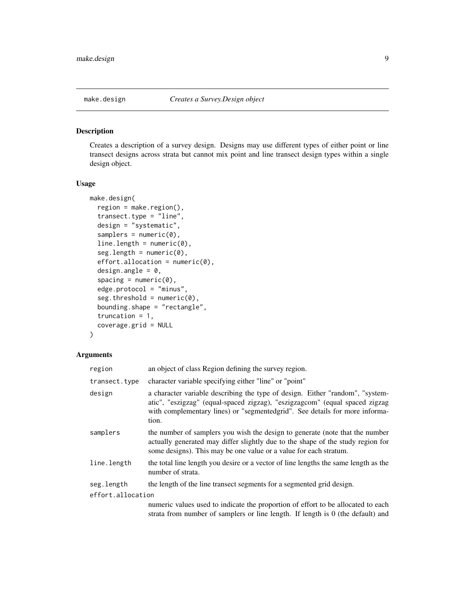<span id="page-8-1"></span><span id="page-8-0"></span>

## Description

Creates a description of a survey design. Designs may use different types of either point or line transect designs across strata but cannot mix point and line transect design types within a single design object.

## Usage

```
make.design(
  region = make.region(),
  transect.type = "line",
  design = "systematic",
  samples = numeric(0),line.length = numeric(0),seg.length = numeric(0),effort.allocation = numeric(0),
  design.angle = 0,
  spacing = numeric(0),
  edge.protocol = "minus",
  seg. threshold = numeric(0),bounding.shape = "rectangle",
  truncation = 1,
  coverage.grid = NULL
)
```
## Arguments

| region            | an object of class Region defining the survey region.                                                                                                                                                                                                |  |
|-------------------|------------------------------------------------------------------------------------------------------------------------------------------------------------------------------------------------------------------------------------------------------|--|
| transect.type     | character variable specifying either "line" or "point"                                                                                                                                                                                               |  |
| design            | a character variable describing the type of design. Either "random", "system-<br>atic", "eszigzag" (equal-spaced zigzag), "eszigzagcom" (equal spaced zigzag<br>with complementary lines) or "segmentedgrid". See details for more informa-<br>tion. |  |
| samplers          | the number of samplers you wish the design to generate (note that the number<br>actually generated may differ slightly due to the shape of the study region for<br>some designs). This may be one value or a value for each stratum.                 |  |
| line.length       | the total line length you desire or a vector of line lengths the same length as the<br>number of strata.                                                                                                                                             |  |
| seg.length        | the length of the line transect segments for a segmented grid design.                                                                                                                                                                                |  |
| effort.allocation |                                                                                                                                                                                                                                                      |  |
|                   | numeric values used to indicate the proportion of effort to be allocated to each<br>strata from number of samplers or line length. If length is $0$ (the default) and                                                                                |  |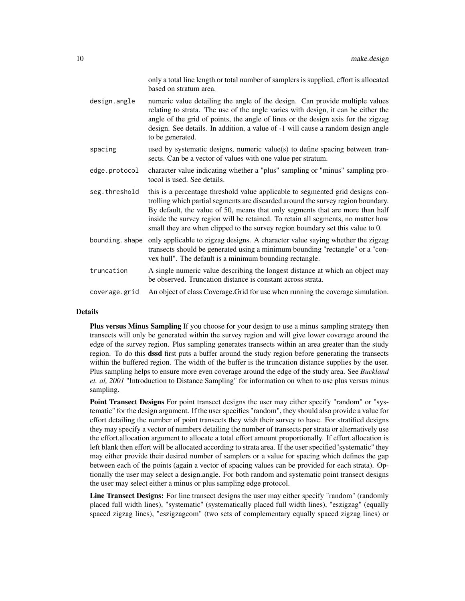|                | only a total line length or total number of samplers is supplied, effort is allocated<br>based on stratum area.                                                                                                                                                                                                                                                                                                           |
|----------------|---------------------------------------------------------------------------------------------------------------------------------------------------------------------------------------------------------------------------------------------------------------------------------------------------------------------------------------------------------------------------------------------------------------------------|
| design.angle   | numeric value detailing the angle of the design. Can provide multiple values<br>relating to strata. The use of the angle varies with design, it can be either the<br>angle of the grid of points, the angle of lines or the design axis for the zigzag<br>design. See details. In addition, a value of -1 will cause a random design angle<br>to be generated.                                                            |
| spacing        | used by systematic designs, numeric value(s) to define spacing between tran-<br>sects. Can be a vector of values with one value per stratum.                                                                                                                                                                                                                                                                              |
| edge.protocol  | character value indicating whether a "plus" sampling or "minus" sampling pro-<br>tocol is used. See details.                                                                                                                                                                                                                                                                                                              |
| seg.threshold  | this is a percentage threshold value applicable to segmented grid designs con-<br>trolling which partial segments are discarded around the survey region boundary.<br>By default, the value of 50, means that only segments that are more than half<br>inside the survey region will be retained. To retain all segments, no matter how<br>small they are when clipped to the survey region boundary set this value to 0. |
| bounding.shape | only applicable to zigzag designs. A character value saying whether the zigzag<br>transects should be generated using a minimum bounding "rectangle" or a "con-<br>vex hull". The default is a minimum bounding rectangle.                                                                                                                                                                                                |
| truncation     | A single numeric value describing the longest distance at which an object may<br>be observed. Truncation distance is constant across strata.                                                                                                                                                                                                                                                                              |
| coverage.grid  | An object of class Coverage. Grid for use when running the coverage simulation.                                                                                                                                                                                                                                                                                                                                           |

## Details

Plus versus Minus Sampling If you choose for your design to use a minus sampling strategy then transects will only be generated within the survey region and will give lower coverage around the edge of the survey region. Plus sampling generates transects within an area greater than the study region. To do this **dssd** first puts a buffer around the study region before generating the transects within the buffered region. The width of the buffer is the truncation distance supplies by the user. Plus sampling helps to ensure more even coverage around the edge of the study area. See *Buckland et. al, 2001* "Introduction to Distance Sampling" for information on when to use plus versus minus sampling.

**Point Transect Designs** For point transect designs the user may either specify "random" or "systematic" for the design argument. If the user specifies "random", they should also provide a value for effort detailing the number of point transects they wish their survey to have. For stratified designs they may specify a vector of numbers detailing the number of transects per strata or alternatively use the effort.allocation argument to allocate a total effort amount proportionally. If effort.allocation is left blank then effort will be allocated according to strata area. If the user specified"systematic" they may either provide their desired number of samplers or a value for spacing which defines the gap between each of the points (again a vector of spacing values can be provided for each strata). Optionally the user may select a design.angle. For both random and systematic point transect designs the user may select either a minus or plus sampling edge protocol.

Line Transect Designs: For line transect designs the user may either specify "random" (randomly placed full width lines), "systematic" (systematically placed full width lines), "eszigzag" (equally spaced zigzag lines), "eszigzagcom" (two sets of complementary equally spaced zigzag lines) or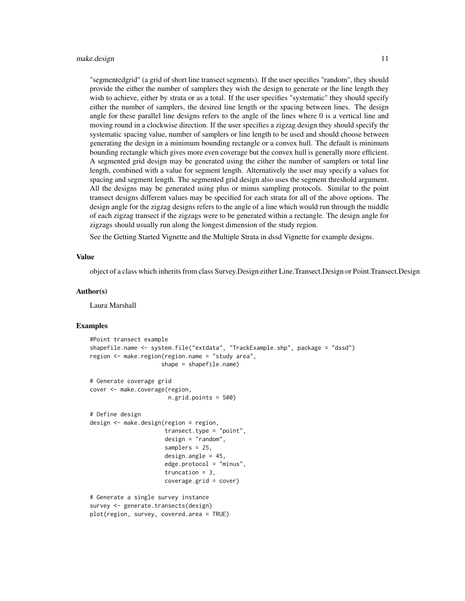#### make.design 11

"segmentedgrid" (a grid of short line transect segments). If the user specifies "random", they should provide the either the number of samplers they wish the design to generate or the line length they wish to achieve, either by strata or as a total. If the user specifies "systematic" they should specify either the number of samplers, the desired line length or the spacing between lines. The design angle for these parallel line designs refers to the angle of the lines where 0 is a vertical line and moving round in a clockwise direction. If the user specifies a zigzag design they should specify the systematic spacing value, number of samplers or line length to be used and should choose between generating the design in a minimum bounding rectangle or a convex hull. The default is minimum bounding rectangle which gives more even coverage but the convex hull is generally more efficient. A segmented grid design may be generated using the either the number of samplers or total line length, combined with a value for segment length. Alternatively the user may specify a values for spacing and segment length. The segmented grid design also uses the segment threshold argument. All the designs may be generated using plus or minus sampling protocols. Similar to the point transect designs different values may be specified for each strata for all of the above options. The design angle for the zigzag designs refers to the angle of a line which would run through the middle of each zigzag transect if the zigzags were to be generated within a rectangle. The design angle for zigzags should usually run along the longest dimension of the study region.

See the Getting Started Vignette and the Multiple Strata in dssd Vignette for example designs.

#### Value

object of a class which inherits from class Survey.Design either Line.Transect.Design or Point.Transect.Design

#### Author(s)

Laura Marshall

#### Examples

```
#Point transect example
shapefile.name <- system.file("extdata", "TrackExample.shp", package = "dssd")
region <- make.region(region.name = "study area",
                     shape = shapefile.name)
# Generate coverage grid
cover <- make.coverage(region,
                       n.grid.points = 500)
# Define design
design <- make.design(region = region,
                      transect.type = "point",
                      design = "random",
                      samplers = 25,
                      design.angle = 45,
                      edge.protocol = "minus",
                      truncation = 3,
                      coverage.grid = cover)
# Generate a single survey instance
survey <- generate.transects(design)
plot(region, survey, covered.area = TRUE)
```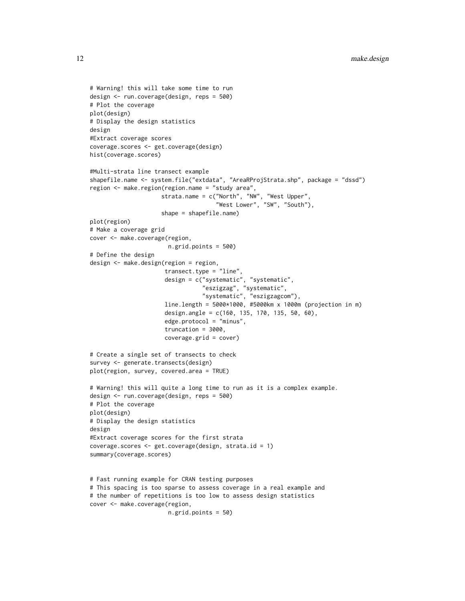```
# Warning! this will take some time to run
design <- run.coverage(design, reps = 500)
# Plot the coverage
plot(design)
# Display the design statistics
design
#Extract coverage scores
coverage.scores <- get.coverage(design)
hist(coverage.scores)
#Multi-strata line transect example
shapefile.name <- system.file("extdata", "AreaRProjStrata.shp", package = "dssd")
region <- make.region(region.name = "study area",
                     strata.name = c("North", "NW", "West Upper",
                                     "West Lower", "SW", "South"),
                     shape = shapefile.name)
plot(region)
# Make a coverage grid
cover <- make.coverage(region,
                       n.grid.points = 500)
# Define the design
design <- make.design(region = region,
                      transect.type = "line",
                      design = c("systematic", "systematic",
                                 "eszigzag", "systematic",
                                 "systematic", "eszigzagcom"),
                      line.length = 5000*1000, #5000km x 1000m (projection in m)
                      design.angle = c(160, 135, 170, 135, 50, 60),
                      edge.protocol = "minus",
                      truncation = 3000,
                      coverage.grid = cover)
# Create a single set of transects to check
survey <- generate.transects(design)
plot(region, survey, covered.area = TRUE)
# Warning! this will quite a long time to run as it is a complex example.
design <- run.coverage(design, reps = 500)
# Plot the coverage
plot(design)
# Display the design statistics
design
#Extract coverage scores for the first strata
coverage.scores <- get.coverage(design, strata.id = 1)
summary(coverage.scores)
# Fast running example for CRAN testing purposes
# This spacing is too sparse to assess coverage in a real example and
# the number of repetitions is too low to assess design statistics
cover <- make.coverage(region,
```

```
n.grid.points = 50)
```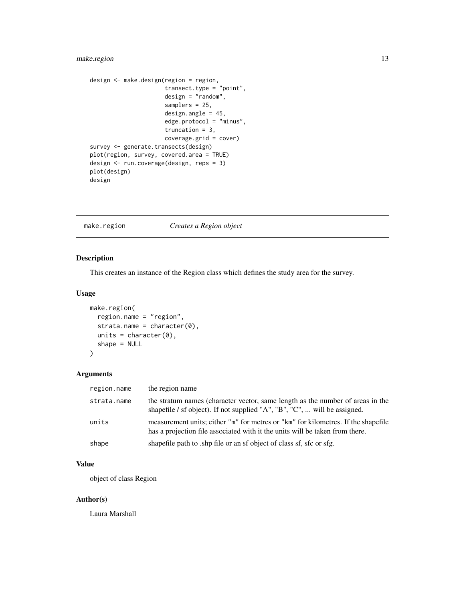## <span id="page-12-0"></span>make.region 13

```
design <- make.design(region = region,
                     transect.type = "point",
                      design = "random",
                      samplers = 25,
                      design.angle = 45,
                      edge.protocol = "minus",
                      truncation = 3,
                      coverage.grid = cover)
survey <- generate.transects(design)
plot(region, survey, covered.area = TRUE)
design <- run.coverage(design, reps = 3)
plot(design)
design
```
<span id="page-12-1"></span>make.region *Creates a Region object*

## Description

This creates an instance of the Region class which defines the study area for the survey.

## Usage

```
make.region(
  region.name = "region",
  strata.name = character(0),
 units = character(0),
  shape = NULL
)
```
## Arguments

| region.name | the region name                                                                                                                                                   |
|-------------|-------------------------------------------------------------------------------------------------------------------------------------------------------------------|
| strata.name | the stratum names (character vector, same length as the number of areas in the<br>shapefile / sf object). If not supplied "A", "B", "C",  will be assigned.       |
| units       | measurement units; either "m" for metres or "km" for kilometres. If the shapefile<br>has a projection file associated with it the units will be taken from there. |
| shape       | shapefile path to shp file or an sf object of class sf, sfc or sfg.                                                                                               |

## Value

object of class Region

## Author(s)

Laura Marshall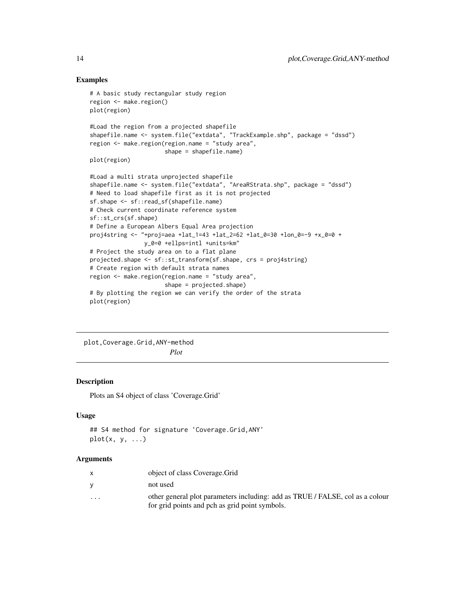## Examples

```
# A basic study rectangular study region
region <- make.region()
plot(region)
#Load the region from a projected shapefile
shapefile.name <- system.file("extdata", "TrackExample.shp", package = "dssd")
region <- make.region(region.name = "study area",
                      shape = shapefile.name)
plot(region)
#Load a multi strata unprojected shapefile
shapefile.name <- system.file("extdata", "AreaRStrata.shp", package = "dssd")
# Need to load shapefile first as it is not projected
sf.shape <- sf::read_sf(shapefile.name)
# Check current coordinate reference system
sf::st_crs(sf.shape)
# Define a European Albers Equal Area projection
proj4string <- "+proj=aea +lat_1=43 +lat_2=62 +lat_0=30 +lon_0=-9 +x_0=0 +
                y_0=0 +ellps=intl +units=km"
# Project the study area on to a flat plane
projected.shape <- sf::st_transform(sf.shape, crs = proj4string)
# Create region with default strata names
region <- make.region(region.name = "study area",
                      shape = projected.shape)
# By plotting the region we can verify the order of the strata
plot(region)
```
plot,Coverage.Grid,ANY-method *Plot*

## Description

Plots an S4 object of class 'Coverage.Grid'

## Usage

```
## S4 method for signature 'Coverage.Grid,ANY'
plot(x, y, ...)
```
## Arguments

|                         | object of class Coverage. Grid                                                                                                  |
|-------------------------|---------------------------------------------------------------------------------------------------------------------------------|
| <b>V</b>                | not used                                                                                                                        |
| $\cdot$ $\cdot$ $\cdot$ | other general plot parameters including: add as TRUE / FALSE, col as a colour<br>for grid points and pch as grid point symbols. |

<span id="page-13-0"></span>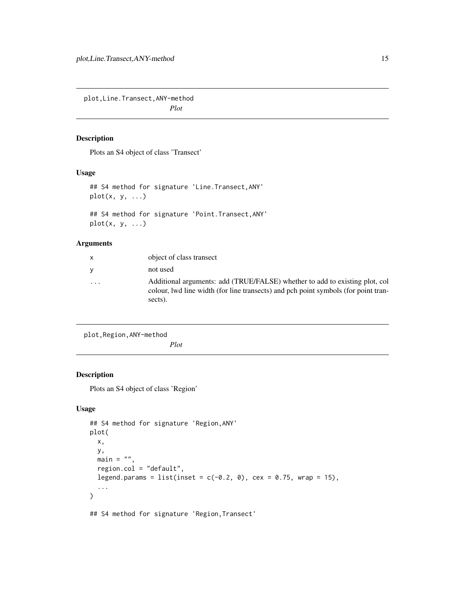<span id="page-14-0"></span>plot,Line.Transect,ANY-method *Plot*

## Description

Plots an S4 object of class 'Transect'

## Usage

## S4 method for signature 'Line.Transect,ANY'  $plot(x, y, ...)$ 

## S4 method for signature 'Point.Transect,ANY'  $plot(x, y, ...)$ 

## Arguments

| $\mathsf{x}$            | object of class transect                                                                                                                                                     |
|-------------------------|------------------------------------------------------------------------------------------------------------------------------------------------------------------------------|
| <b>y</b>                | not used                                                                                                                                                                     |
| $\cdot$ $\cdot$ $\cdot$ | Additional arguments: add (TRUE/FALSE) whether to add to existing plot, col<br>colour, lwd line width (for line transects) and pch point symbols (for point tran-<br>sects). |

plot,Region,ANY-method

*Plot*

## Description

Plots an S4 object of class 'Region'

## Usage

```
## S4 method for signature 'Region,ANY'
plot(
 x,
 y,
 main = "".region.col = "default",
  legend.params = list(inset = c(-0.2, 0), cex = 0.75, wrap = 15),
  ...
)
```
## S4 method for signature 'Region, Transect'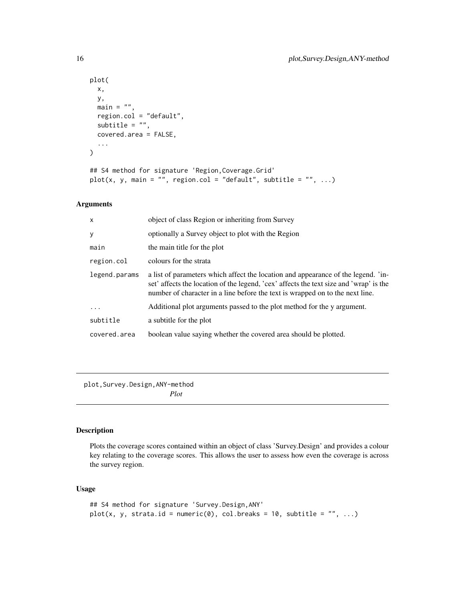```
plot(
 x,
 y,
 main = "",region.col = "default",
  subtitle = ",
  covered.area = FALSE,
  ...
)
```

```
## S4 method for signature 'Region,Coverage.Grid'
plot(x, y, main = "", region.col = "default", subtitle = "", ...)
```
## Arguments

| $\times$      | object of class Region or inheriting from Survey                                                                                                                                                                                                             |
|---------------|--------------------------------------------------------------------------------------------------------------------------------------------------------------------------------------------------------------------------------------------------------------|
| У             | optionally a Survey object to plot with the Region                                                                                                                                                                                                           |
| main          | the main title for the plot                                                                                                                                                                                                                                  |
| region.col    | colours for the strata                                                                                                                                                                                                                                       |
| legend.params | a list of parameters which affect the location and appearance of the legend. 'in-<br>set' affects the location of the legend, 'cex' affects the text size and 'wrap' is the<br>number of character in a line before the text is wrapped on to the next line. |
|               | Additional plot arguments passed to the plot method for the y argument.                                                                                                                                                                                      |
| subtitle      | a subtitle for the plot                                                                                                                                                                                                                                      |
| covered.area  | boolean value saying whether the covered area should be plotted.                                                                                                                                                                                             |

plot,Survey.Design,ANY-method

*Plot*

## Description

Plots the coverage scores contained within an object of class 'Survey.Design' and provides a colour key relating to the coverage scores. This allows the user to assess how even the coverage is across the survey region.

## Usage

```
## S4 method for signature 'Survey.Design,ANY'
plot(x, y, strata.id = numeric(0), col.breaks = 10, subtitle = ", ...)
```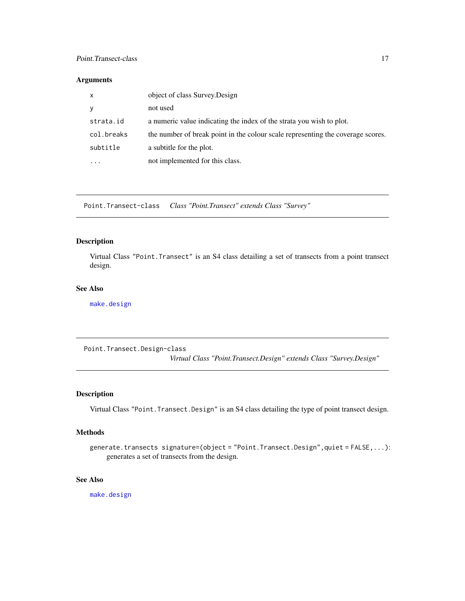## <span id="page-16-0"></span>Point.Transect-class 17

## Arguments

| х          | object of class Survey. Design                                                  |
|------------|---------------------------------------------------------------------------------|
|            | not used                                                                        |
| strata.id  | a numeric value indicating the index of the strata you wish to plot.            |
| col.breaks | the number of break point in the colour scale representing the coverage scores. |
| subtitle   | a subtitle for the plot.                                                        |
| .          | not implemented for this class.                                                 |

Point.Transect-class *Class "Point.Transect" extends Class "Survey"*

## Description

Virtual Class "Point.Transect" is an S4 class detailing a set of transects from a point transect design.

## See Also

[make.design](#page-8-1)

Point.Transect.Design-class *Virtual Class "Point.Transect.Design" extends Class "Survey.Design"*

## Description

Virtual Class "Point.Transect.Design" is an S4 class detailing the type of point transect design.

## Methods

generate.transects signature=(object = "Point.Transect.Design", quiet = FALSE,...): generates a set of transects from the design.

## See Also

[make.design](#page-8-1)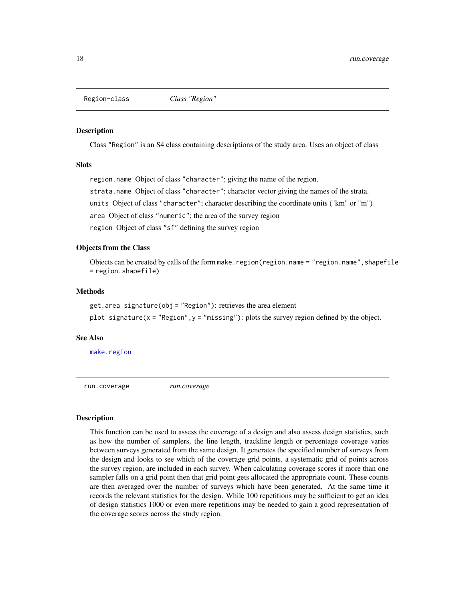<span id="page-17-0"></span>

#### Description

Class "Region" is an S4 class containing descriptions of the study area. Uses an object of class

## **Slots**

region.name Object of class "character"; giving the name of the region.

strata.name Object of class "character"; character vector giving the names of the strata.

units Object of class "character"; character describing the coordinate units ("km" or "m")

area Object of class "numeric"; the area of the survey region

region Object of class "sf" defining the survey region

## Objects from the Class

Objects can be created by calls of the form make.region(region.name = "region.name", shapefile = region.shapefile)

## **Methods**

get.area signature(obj = "Region"): retrieves the area element

plot signature( $x =$  "Region",  $y =$  "missing"): plots the survey region defined by the object.

#### See Also

[make.region](#page-12-1)

<span id="page-17-1"></span>run.coverage *run.coverage*

#### Description

This function can be used to assess the coverage of a design and also assess design statistics, such as how the number of samplers, the line length, trackline length or percentage coverage varies between surveys generated from the same design. It generates the specified number of surveys from the design and looks to see which of the coverage grid points, a systematic grid of points across the survey region, are included in each survey. When calculating coverage scores if more than one sampler falls on a grid point then that grid point gets allocated the appropriate count. These counts are then averaged over the number of surveys which have been generated. At the same time it records the relevant statistics for the design. While 100 repetitions may be sufficient to get an idea of design statistics 1000 or even more repetitions may be needed to gain a good representation of the coverage scores across the study region.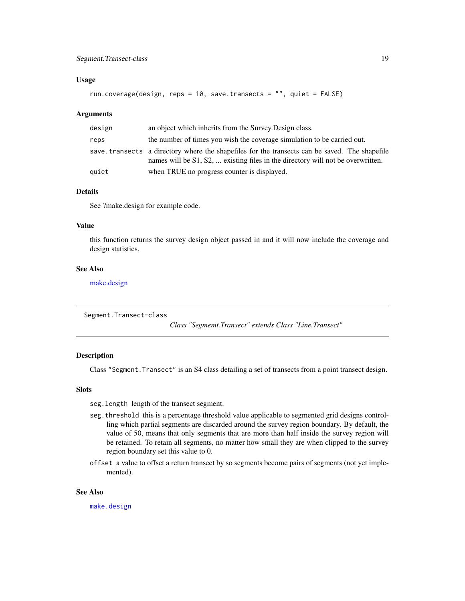## <span id="page-18-0"></span>Segment.Transect-class 19

## Usage

```
run.coverage(design, reps = 10, save.transects = "", quiet = FALSE)
```
#### **Arguments**

| design | an object which inherits from the Survey. Design class.                                                                                                                          |
|--------|----------------------------------------------------------------------------------------------------------------------------------------------------------------------------------|
| reps   | the number of times you wish the coverage simulation to be carried out.                                                                                                          |
|        | save transects a directory where the shapefiles for the transects can be saved. The shapefile<br>names will be S1, S2,  existing files in the directory will not be overwritten. |
| quiet  | when TRUE no progress counter is displayed.                                                                                                                                      |

## Details

See ?make.design for example code.

#### Value

this function returns the survey design object passed in and it will now include the coverage and design statistics.

## See Also

[make.design](#page-8-1)

Segment.Transect-class

*Class "Segmemt.Transect" extends Class "Line.Transect"*

## Description

Class "Segment.Transect" is an S4 class detailing a set of transects from a point transect design.

## Slots

- seg.length length of the transect segment.
- seg.threshold this is a percentage threshold value applicable to segmented grid designs controlling which partial segments are discarded around the survey region boundary. By default, the value of 50, means that only segments that are more than half inside the survey region will be retained. To retain all segments, no matter how small they are when clipped to the survey region boundary set this value to 0.
- offset a value to offset a return transect by so segments become pairs of segments (not yet implemented).

#### See Also

[make.design](#page-8-1)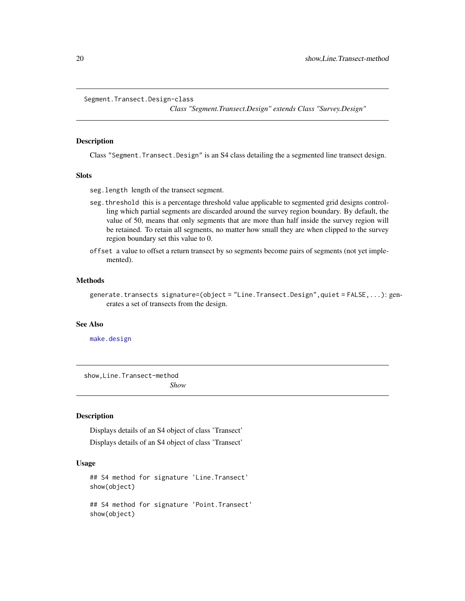<span id="page-19-0"></span>Segment.Transect.Design-class

*Class "Segment.Transect.Design" extends Class "Survey.Design"*

## Description

Class "Segment.Transect.Design" is an S4 class detailing the a segmented line transect design.

## **Slots**

- seg.length length of the transect segment.
- seg.threshold this is a percentage threshold value applicable to segmented grid designs controlling which partial segments are discarded around the survey region boundary. By default, the value of 50, means that only segments that are more than half inside the survey region will be retained. To retain all segments, no matter how small they are when clipped to the survey region boundary set this value to 0.
- offset a value to offset a return transect by so segments become pairs of segments (not yet implemented).

#### Methods

#### See Also

[make.design](#page-8-1)

show,Line.Transect-method *Show*

## Description

Displays details of an S4 object of class 'Transect' Displays details of an S4 object of class 'Transect'

## Usage

```
## S4 method for signature 'Line.Transect'
show(object)
## S4 method for signature 'Point.Transect'
show(object)
```
generate.transects signature=(object = "Line.Transect.Design",quiet = FALSE,...): generates a set of transects from the design.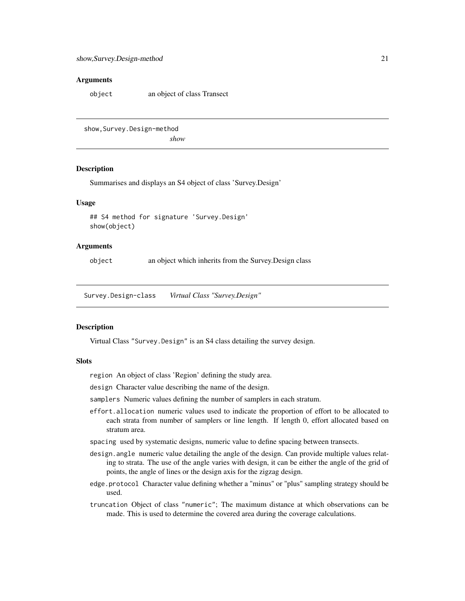## <span id="page-20-0"></span>Arguments

object an object of class Transect

show, Survey. Design-method

*show*

## Description

Summarises and displays an S4 object of class 'Survey.Design'

## Usage

## S4 method for signature 'Survey.Design' show(object)

## Arguments

object an object which inherits from the Survey.Design class

Survey.Design-class *Virtual Class "Survey.Design"*

#### Description

Virtual Class "Survey.Design" is an S4 class detailing the survey design.

#### Slots

region An object of class 'Region' defining the study area.

- design Character value describing the name of the design.
- samplers Numeric values defining the number of samplers in each stratum.
- effort.allocation numeric values used to indicate the proportion of effort to be allocated to each strata from number of samplers or line length. If length 0, effort allocated based on stratum area.
- spacing used by systematic designs, numeric value to define spacing between transects.
- design. angle numeric value detailing the angle of the design. Can provide multiple values relating to strata. The use of the angle varies with design, it can be either the angle of the grid of points, the angle of lines or the design axis for the zigzag design.
- edge.protocol Character value defining whether a "minus" or "plus" sampling strategy should be used.
- truncation Object of class "numeric"; The maximum distance at which observations can be made. This is used to determine the covered area during the coverage calculations.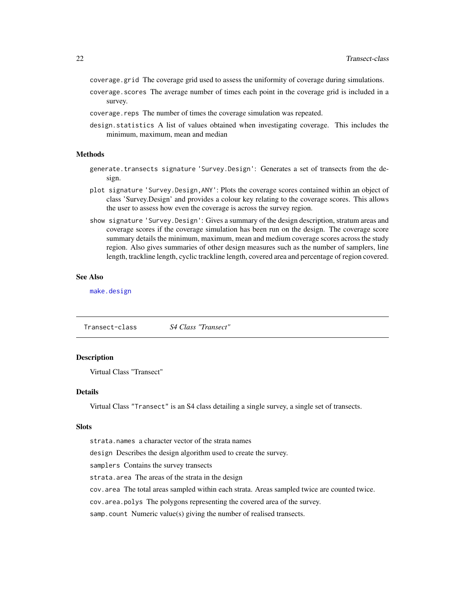- <span id="page-21-0"></span>coverage.grid The coverage grid used to assess the uniformity of coverage during simulations.
- coverage. scores The average number of times each point in the coverage grid is included in a survey.
- coverage.reps The number of times the coverage simulation was repeated.
- design.statistics A list of values obtained when investigating coverage. This includes the minimum, maximum, mean and median

## Methods

- generate.transects signature 'Survey.Design': Generates a set of transects from the design.
- plot signature 'Survey.Design,ANY': Plots the coverage scores contained within an object of class 'Survey.Design' and provides a colour key relating to the coverage scores. This allows the user to assess how even the coverage is across the survey region.
- show signature 'Survey.Design': Gives a summary of the design description, stratum areas and coverage scores if the coverage simulation has been run on the design. The coverage score summary details the minimum, maximum, mean and medium coverage scores across the study region. Also gives summaries of other design measures such as the number of samplers, line length, trackline length, cyclic trackline length, covered area and percentage of region covered.

## See Also

[make.design](#page-8-1)

|--|

## Description

Virtual Class "Transect"

## Details

Virtual Class "Transect" is an S4 class detailing a single survey, a single set of transects.

#### **Slots**

strata.names a character vector of the strata names design Describes the design algorithm used to create the survey. samplers Contains the survey transects strata.area The areas of the strata in the design cov.area The total areas sampled within each strata. Areas sampled twice are counted twice. cov.area.polys The polygons representing the covered area of the survey. samp.count Numeric value(s) giving the number of realised transects.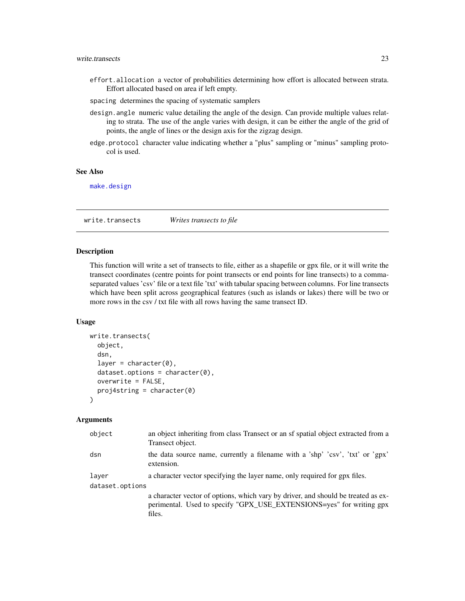## <span id="page-22-0"></span>write.transects 23

- effort.allocation a vector of probabilities determining how effort is allocated between strata. Effort allocated based on area if left empty.
- spacing determines the spacing of systematic samplers
- design. angle numeric value detailing the angle of the design. Can provide multiple values relating to strata. The use of the angle varies with design, it can be either the angle of the grid of points, the angle of lines or the design axis for the zigzag design.
- edge.protocol character value indicating whether a "plus" sampling or "minus" sampling protocol is used.

## See Also

[make.design](#page-8-1)

<span id="page-22-1"></span>write.transects *Writes transects to file*

#### Description

This function will write a set of transects to file, either as a shapefile or gpx file, or it will write the transect coordinates (centre points for point transects or end points for line transects) to a commaseparated values 'csv' file or a text file 'txt' with tabular spacing between columns. For line transects which have been split across geographical features (such as islands or lakes) there will be two or more rows in the csv / txt file with all rows having the same transect ID.

## Usage

```
write.transects(
  object,
  dsn,
  layer = character(0),
  dataset.options = character(0),
  overwrite = FALSE,
 proj4string = character(0)
\lambda
```
#### Arguments

| object          | an object inheriting from class Transect or an sf spatial object extracted from a<br>Transect object.                                                               |
|-----------------|---------------------------------------------------------------------------------------------------------------------------------------------------------------------|
| dsn             | the data source name, currently a filename with a 'shp' 'csv', 'txt' or 'gpx'<br>extension.                                                                         |
| laver           | a character vector specifying the layer name, only required for gpx files.                                                                                          |
| dataset.options |                                                                                                                                                                     |
|                 | a character vector of options, which vary by driver, and should be treated as ex-<br>perimental. Used to specify "GPX_USE_EXTENSIONS=yes" for writing gpx<br>files. |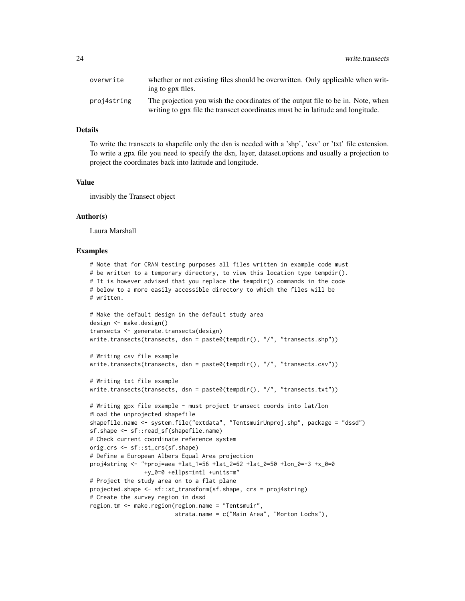| overwrite   | whether or not existing files should be overwritten. Only applicable when writ-<br>ing to gpx files.                                                               |
|-------------|--------------------------------------------------------------------------------------------------------------------------------------------------------------------|
| proj4string | The projection you wish the coordinates of the output file to be in. Note, when<br>writing to gpx file the transect coordinates must be in latitude and longitude. |

## Details

To write the transects to shapefile only the dsn is needed with a 'shp', 'csv' or 'txt' file extension. To write a gpx file you need to specify the dsn, layer, dataset.options and usually a projection to project the coordinates back into latitude and longitude.

#### Value

invisibly the Transect object

## Author(s)

Laura Marshall

#### Examples

```
# Note that for CRAN testing purposes all files written in example code must
# be written to a temporary directory, to view this location type tempdir().
# It is however advised that you replace the tempdir() commands in the code
# below to a more easily accessible directory to which the files will be
# written.
# Make the default design in the default study area
design <- make.design()
transects <- generate.transects(design)
write.transects(transects, dsn = paste0(tempdir(), "/", "transects.shp"))
# Writing csv file example
write.transects(transects, dsn = paste0(tempdir(), "/", "transects.csv"))
# Writing txt file example
write.transects(transects, dsn = paste0(tempdir(), "/", "transects.txt"))
# Writing gpx file example - must project transect coords into lat/lon
#Load the unprojected shapefile
shapefile.name <- system.file("extdata", "TentsmuirUnproj.shp", package = "dssd")
sf.shape <- sf::read_sf(shapefile.name)
# Check current coordinate reference system
orig.crs <- sf::st_crs(sf.shape)
# Define a European Albers Equal Area projection
proj4string <- "+proj=aea +lat_1=56 +lat_2=62 +lat_0=50 +lon_0=-3 +x_0=0
               +y_0=0 +ellps=intl +units=m"
# Project the study area on to a flat plane
projected.shape <- sf::st_transform(sf.shape, crs = proj4string)
# Create the survey region in dssd
region.tm <- make.region(region.name = "Tentsmuir",
                        strata.name = c("Main Area", "Morton Lochs"),
```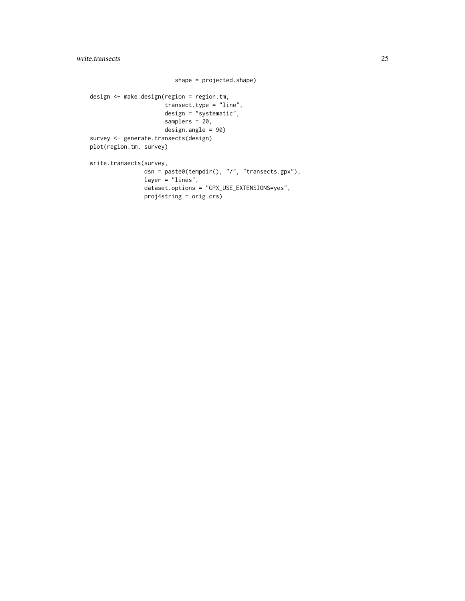```
shape = projected.shape)
design <- make.design(region = region.tm,
                     transect.type = "line",
                     design = "systematic",
                      samplers = 20,
                     design.angle = 90)
survey <- generate.transects(design)
plot(region.tm, survey)
write.transects(survey,
                dsn = paste0(tempdir(), "/", "transects.gpx"),
                layer = "lines",
                dataset.options = "GPX_USE_EXTENSIONS=yes",
               proj4string = orig.crs)
```